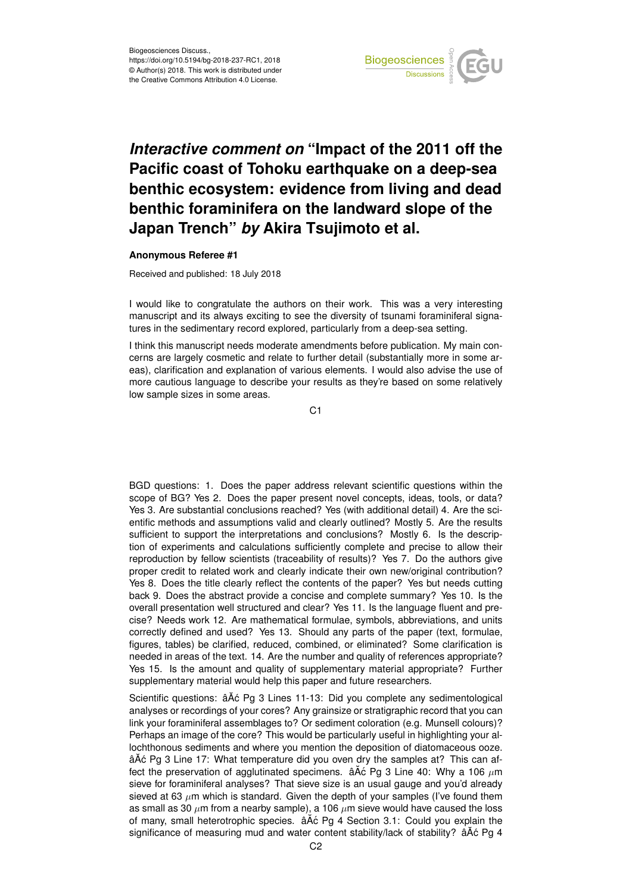

## *Interactive comment on* **"Impact of the 2011 off the Pacific coast of Tohoku earthquake on a deep-sea benthic ecosystem: evidence from living and dead benthic foraminifera on the landward slope of the Japan Trench"** *by* **Akira Tsujimoto et al.**

## **Anonymous Referee #1**

Received and published: 18 July 2018

I would like to congratulate the authors on their work. This was a very interesting manuscript and its always exciting to see the diversity of tsunami foraminiferal signatures in the sedimentary record explored, particularly from a deep-sea setting.

I think this manuscript needs moderate amendments before publication. My main concerns are largely cosmetic and relate to further detail (substantially more in some areas), clarification and explanation of various elements. I would also advise the use of more cautious language to describe your results as they're based on some relatively low sample sizes in some areas.

C1

BGD questions: 1. Does the paper address relevant scientific questions within the scope of BG? Yes 2. Does the paper present novel concepts, ideas, tools, or data? Yes 3. Are substantial conclusions reached? Yes (with additional detail) 4. Are the scientific methods and assumptions valid and clearly outlined? Mostly 5. Are the results sufficient to support the interpretations and conclusions? Mostly 6. Is the description of experiments and calculations sufficiently complete and precise to allow their reproduction by fellow scientists (traceability of results)? Yes 7. Do the authors give proper credit to related work and clearly indicate their own new/original contribution? Yes 8. Does the title clearly reflect the contents of the paper? Yes but needs cutting back 9. Does the abstract provide a concise and complete summary? Yes 10. Is the overall presentation well structured and clear? Yes 11. Is the language fluent and precise? Needs work 12. Are mathematical formulae, symbols, abbreviations, and units correctly defined and used? Yes 13. Should any parts of the paper (text, formulae, figures, tables) be clarified, reduced, combined, or eliminated? Some clarification is needed in areas of the text. 14. Are the number and quality of references appropriate? Yes 15. Is the amount and quality of supplementary material appropriate? Further supplementary material would help this paper and future researchers.

Scientific questions: âĂć Pg 3 Lines 11-13: Did you complete any sedimentological analyses or recordings of your cores? Any grainsize or stratigraphic record that you can link your foraminiferal assemblages to? Or sediment coloration (e.g. Munsell colours)? Perhaps an image of the core? This would be particularly useful in highlighting your allochthonous sediments and where you mention the deposition of diatomaceous ooze. âĂć Pg 3 Line 17: What temperature did you oven dry the samples at? This can affect the preservation of agglutinated specimens.  $\hat{a} \times \hat{c}$  Pg 3 Line 40: Why a 106  $\mu$ m sieve for foraminiferal analyses? That sieve size is an usual gauge and you'd already sieved at 63  $\mu$ m which is standard. Given the depth of your samples (I've found them as small as 30  $\mu$ m from a nearby sample), a 106  $\mu$ m sieve would have caused the loss of many, small heterotrophic species.  $\hat{a}$ A $\hat{c}$  Pg 4 Section 3.1: Could you explain the significance of measuring mud and water content stability/lack of stability?  $âAć Pg 4$